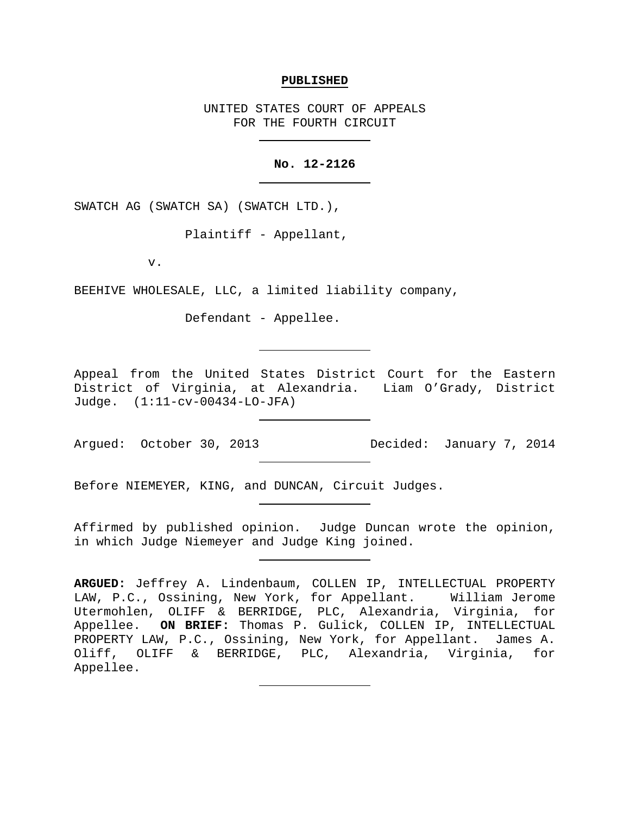#### **PUBLISHED**

UNITED STATES COURT OF APPEALS FOR THE FOURTH CIRCUIT

#### **No. 12-2126**

SWATCH AG (SWATCH SA) (SWATCH LTD.),

Plaintiff - Appellant,

v.

BEEHIVE WHOLESALE, LLC, a limited liability company,

Defendant - Appellee.

Appeal from the United States District Court for the Eastern District of Virginia, at Alexandria. Liam O'Grady, District Judge. (1:11-cv-00434-LO-JFA)

Argued: October 30, 2013 Decided: January 7, 2014

Before NIEMEYER, KING, and DUNCAN, Circuit Judges.

Affirmed by published opinion. Judge Duncan wrote the opinion, in which Judge Niemeyer and Judge King joined.

**ARGUED:** Jeffrey A. Lindenbaum, COLLEN IP, INTELLECTUAL PROPERTY LAW, P.C., Ossining, New York, for Appellant. William Jerome Utermohlen, OLIFF & BERRIDGE, PLC, Alexandria, Virginia, for Appellee. **ON BRIEF:** Thomas P. Gulick, COLLEN IP, INTELLECTUAL PROPERTY LAW, P.C., Ossining, New York, for Appellant. James A. Oliff, OLIFF & BERRIDGE, PLC, Alexandria, Virginia, for Appellee.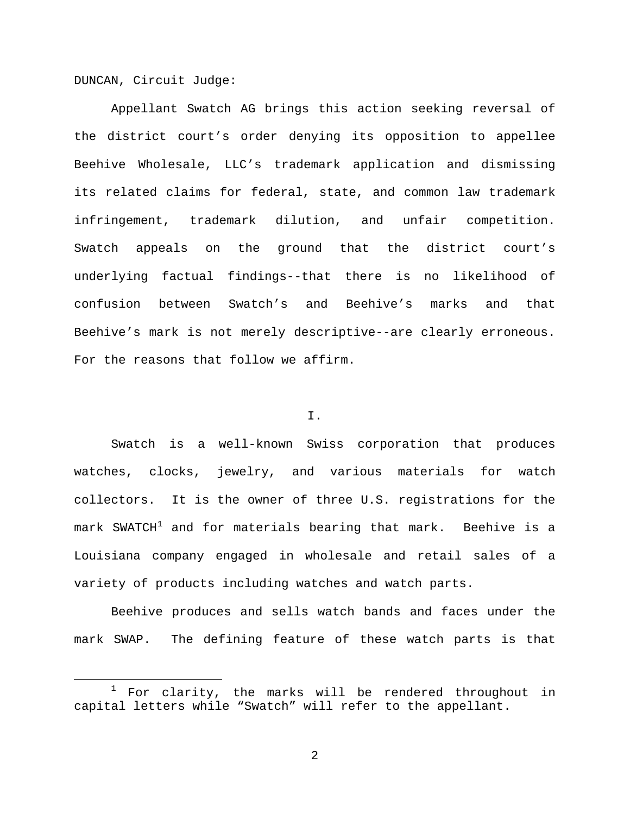DUNCAN, Circuit Judge:

Appellant Swatch AG brings this action seeking reversal of the district court's order denying its opposition to appellee Beehive Wholesale, LLC's trademark application and dismissing its related claims for federal, state, and common law trademark infringement, trademark dilution, and unfair competition. Swatch appeals on the ground that the district court's underlying factual findings--that there is no likelihood of confusion between Swatch's and Beehive's marks and that Beehive's mark is not merely descriptive--are clearly erroneous. For the reasons that follow we affirm.

## I.

Swatch is a well-known Swiss corporation that produces watches, clocks, jewelry, and various materials for watch collectors. It is the owner of three U.S. registrations for the  $mark$  SWATCH<sup>[1](#page-1-0)</sup> and for materials bearing that mark. Beehive is a Louisiana company engaged in wholesale and retail sales of a variety of products including watches and watch parts.

Beehive produces and sells watch bands and faces under the mark SWAP. The defining feature of these watch parts is that

<span id="page-1-0"></span>For clarity, the marks will be rendered throughout in capital letters while "Swatch" will refer to the appellant.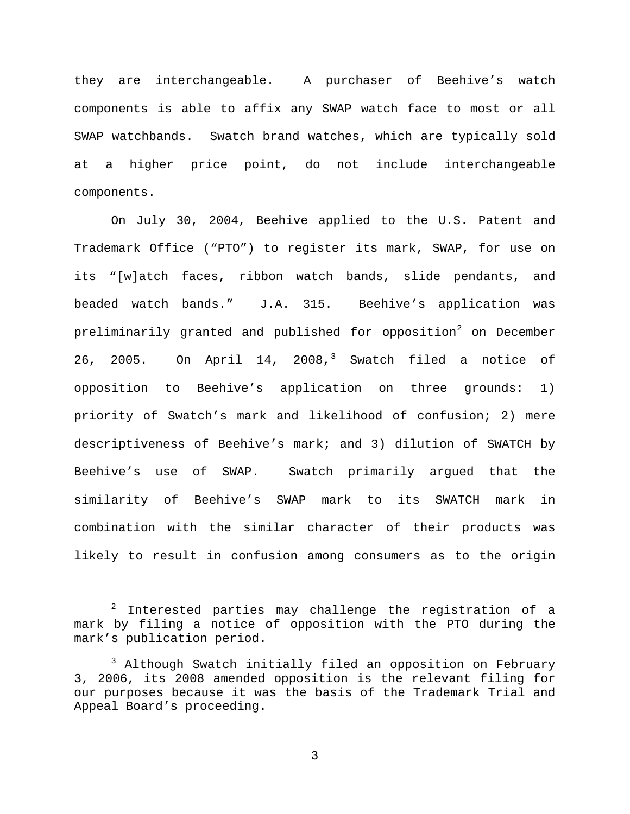they are interchangeable. A purchaser of Beehive's watch components is able to affix any SWAP watch face to most or all SWAP watchbands. Swatch brand watches, which are typically sold at a higher price point, do not include interchangeable components.

On July 30, 2004, Beehive applied to the U.S. Patent and Trademark Office ("PTO") to register its mark, SWAP, for use on its "[w]atch faces, ribbon watch bands, slide pendants, and beaded watch bands." J.A. 315. Beehive's application was preliminarily granted and published for opposition<sup>[2](#page-2-0)</sup> on December 26, 2005. On April 14, 2008,<sup>[3](#page-2-1)</sup> Swatch filed a notice of opposition to Beehive's application on three grounds: 1) priority of Swatch's mark and likelihood of confusion; 2) mere descriptiveness of Beehive's mark; and 3) dilution of SWATCH by Beehive's use of SWAP. Swatch primarily argued that the similarity of Beehive's SWAP mark to its SWATCH mark in combination with the similar character of their products was likely to result in confusion among consumers as to the origin

<span id="page-2-0"></span> $2$  Interested parties may challenge the registration of a mark by filing a notice of opposition with the PTO during the mark's publication period.

<span id="page-2-1"></span><sup>&</sup>lt;sup>3</sup> Although Swatch initially filed an opposition on February 3, 2006, its 2008 amended opposition is the relevant filing for our purposes because it was the basis of the Trademark Trial and Appeal Board's proceeding.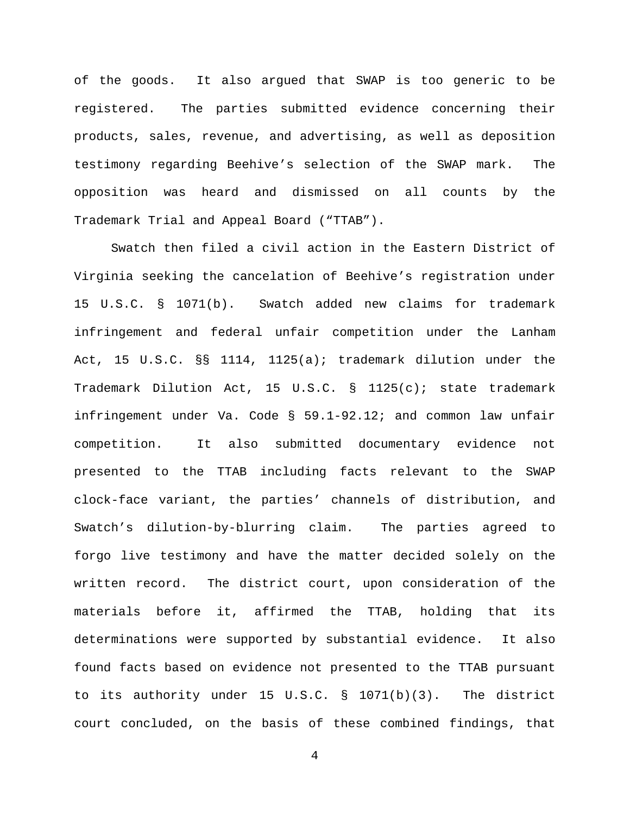of the goods. It also argued that SWAP is too generic to be registered. The parties submitted evidence concerning their products, sales, revenue, and advertising, as well as deposition testimony regarding Beehive's selection of the SWAP mark. The opposition was heard and dismissed on all counts by the Trademark Trial and Appeal Board ("TTAB").

Swatch then filed a civil action in the Eastern District of Virginia seeking the cancelation of Beehive's registration under 15 U.S.C. § 1071(b). Swatch added new claims for trademark infringement and federal unfair competition under the Lanham Act, 15 U.S.C. §§ 1114, 1125(a); trademark dilution under the Trademark Dilution Act, 15 U.S.C. § 1125(c); state trademark infringement under Va. Code § 59.1-92.12; and common law unfair competition. It also submitted documentary evidence not presented to the TTAB including facts relevant to the SWAP clock-face variant, the parties' channels of distribution, and Swatch's dilution-by-blurring claim. The parties agreed to forgo live testimony and have the matter decided solely on the written record. The district court, upon consideration of the materials before it, affirmed the TTAB, holding that its determinations were supported by substantial evidence. It also found facts based on evidence not presented to the TTAB pursuant to its authority under 15 U.S.C. § 1071(b)(3). The district court concluded, on the basis of these combined findings, that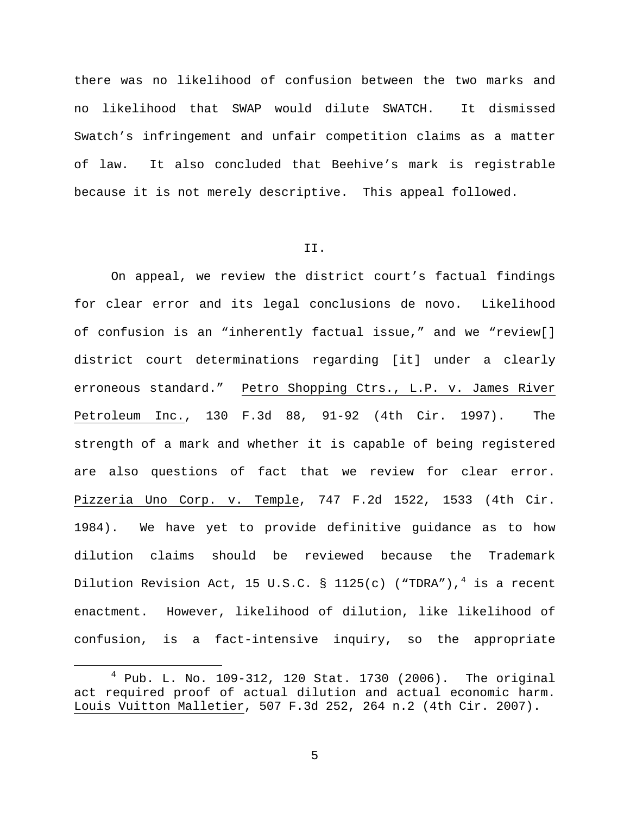there was no likelihood of confusion between the two marks and no likelihood that SWAP would dilute SWATCH. It dismissed Swatch's infringement and unfair competition claims as a matter of law. It also concluded that Beehive's mark is registrable because it is not merely descriptive. This appeal followed.

#### II.

On appeal, we review the district court's factual findings for clear error and its legal conclusions de novo. Likelihood of confusion is an "inherently factual issue," and we "review[] district court determinations regarding [it] under a clearly erroneous standard." Petro Shopping Ctrs., L.P. v. James River Petroleum Inc., 130 F.3d 88, 91-92 (4th Cir. 1997). The strength of a mark and whether it is capable of being registered are also questions of fact that we review for clear error. Pizzeria Uno Corp. v. Temple, 747 F.2d 1522, 1533 (4th Cir. 1984). We have yet to provide definitive guidance as to how dilution claims should be reviewed because the Trademark Dilution Revision Act, 15 U.S.C. § 1125(c) ("TDRA"),<sup>[4](#page-4-0)</sup> is a recent enactment. However, likelihood of dilution, like likelihood of confusion, is a fact-intensive inquiry, so the appropriate

<span id="page-4-0"></span> $4$  Pub. L. No. 109-312, 120 Stat. 1730 (2006). The original act required proof of actual dilution and actual economic harm. Louis Vuitton Malletier, 507 F.3d 252, 264 n.2 (4th Cir. 2007).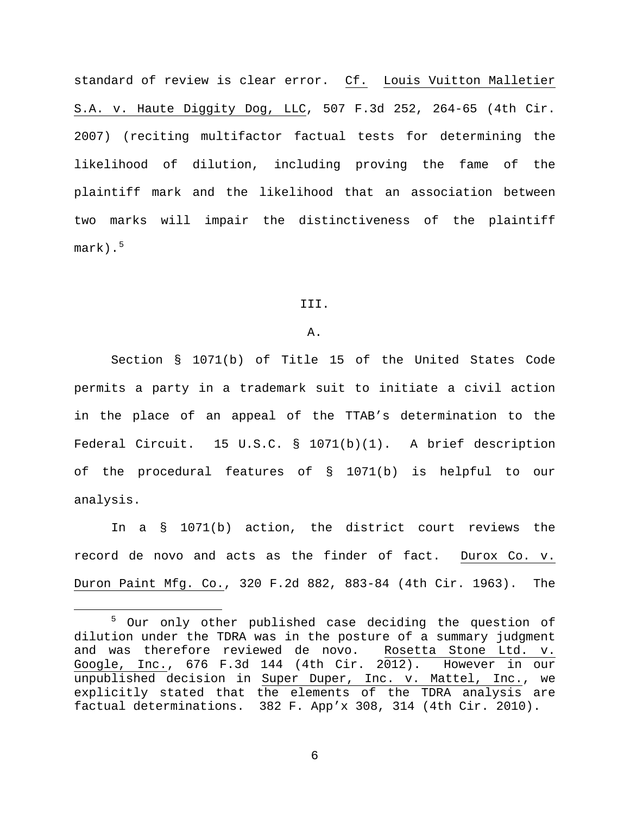standard of review is clear error. Cf. Louis Vuitton Malletier S.A. v. Haute Diggity Dog, LLC, 507 F.3d 252, 264-65 (4th Cir. 2007) (reciting multifactor factual tests for determining the likelihood of dilution, including proving the fame of the plaintiff mark and the likelihood that an association between two marks will impair the distinctiveness of the plaintiff  $mark)$ .<sup>[5](#page-5-0)</sup>

#### III.

#### A.

Section § 1071(b) of Title 15 of the United States Code permits a party in a trademark suit to initiate a civil action in the place of an appeal of the TTAB's determination to the Federal Circuit. 15 U.S.C. § 1071(b)(1). A brief description of the procedural features of § 1071(b) is helpful to our analysis.

In a § 1071(b) action, the district court reviews the record de novo and acts as the finder of fact. Durox Co. v. Duron Paint Mfg. Co., 320 F.2d 882, 883-84 (4th Cir. 1963). The

<span id="page-5-0"></span> <sup>5</sup> Our only other published case deciding the question of dilution under the TDRA was in the posture of a summary judgment and was therefore reviewed de novo. Rosetta Stone Ltd. v. Google, Inc., 676 F.3d 144 (4th Cir. 2012). However in our unpublished decision in Super Duper, Inc. v. Mattel, Inc., we explicitly stated that the elements of the TDRA analysis are factual determinations. 382 F. App'x 308, 314 (4th Cir. 2010).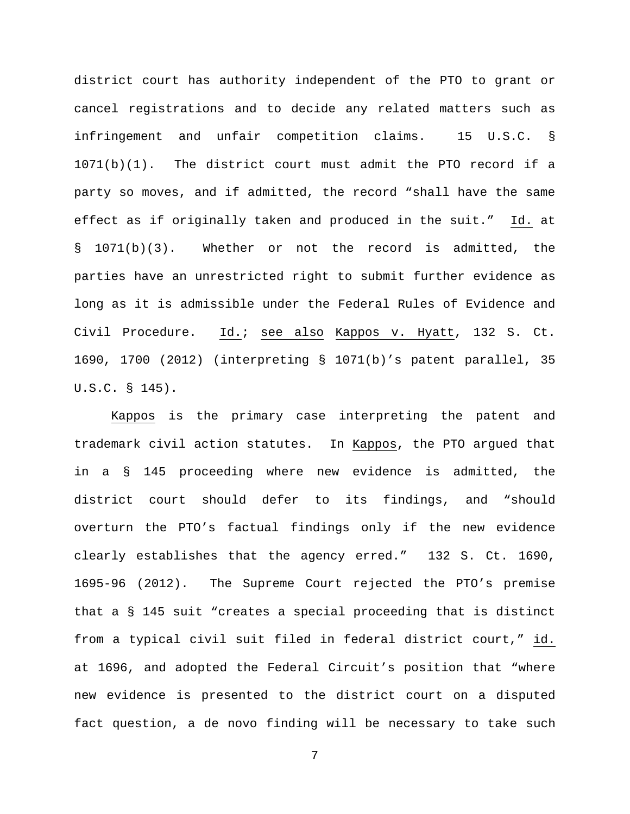district court has authority independent of the PTO to grant or cancel registrations and to decide any related matters such as infringement and unfair competition claims. 15 U.S.C. § 1071(b)(1). The district court must admit the PTO record if a party so moves, and if admitted, the record "shall have the same effect as if originally taken and produced in the suit." Id. at § 1071(b)(3). Whether or not the record is admitted, the parties have an unrestricted right to submit further evidence as long as it is admissible under the Federal Rules of Evidence and Civil Procedure. Id.; see also Kappos v. Hyatt, 132 S. Ct. 1690, 1700 (2012) (interpreting § 1071(b)'s patent parallel, 35 U.S.C. § 145).

Kappos is the primary case interpreting the patent and trademark civil action statutes. In Kappos, the PTO argued that in a § 145 proceeding where new evidence is admitted, the district court should defer to its findings, and "should overturn the PTO's factual findings only if the new evidence clearly establishes that the agency erred." 132 S. Ct. 1690, 1695-96 (2012). The Supreme Court rejected the PTO's premise that a § 145 suit "creates a special proceeding that is distinct from a typical civil suit filed in federal district court," id. at 1696, and adopted the Federal Circuit's position that "where new evidence is presented to the district court on a disputed fact question, a de novo finding will be necessary to take such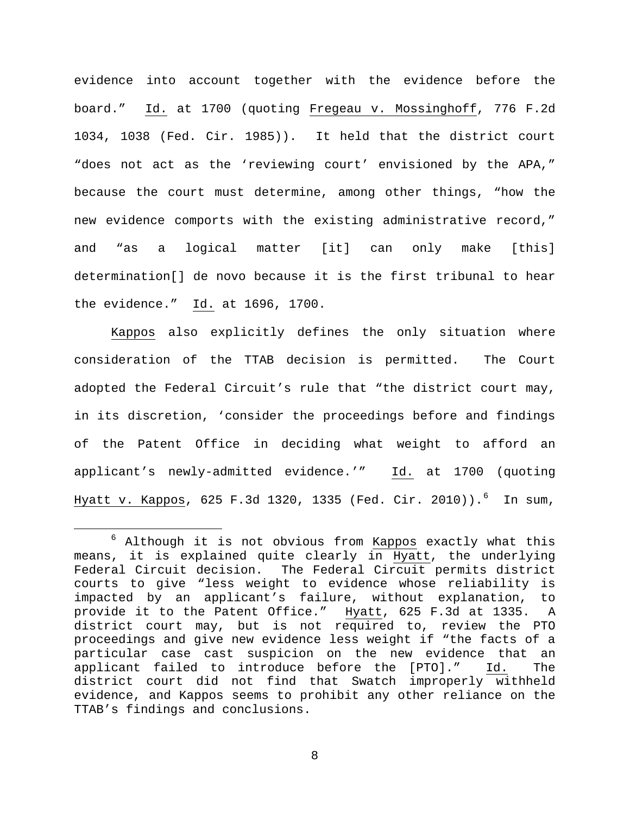evidence into account together with the evidence before the board." Id. at 1700 (quoting Fregeau v. Mossinghoff, 776 F.2d 1034, 1038 (Fed. Cir. 1985)). It held that the district court "does not act as the 'reviewing court' envisioned by the APA," because the court must determine, among other things, "how the new evidence comports with the existing administrative record," and "as a logical matter [it] can only make [this] determination[] de novo because it is the first tribunal to hear the evidence." Id. at 1696, 1700.

Kappos also explicitly defines the only situation where consideration of the TTAB decision is permitted. The Court adopted the Federal Circuit's rule that "the district court may, in its discretion, 'consider the proceedings before and findings of the Patent Office in deciding what weight to afford an applicant's newly-admitted evidence.'" Id. at 1700 (quoting <u>Hyatt v. Kappos</u>, [6](#page-7-0)25 F.3d 1320, 1335 (Fed. Cir. 2010)).<sup>6</sup> In sum,

<span id="page-7-0"></span> $6$  Although it is not obvious from  $Kappos$  exactly what this means, it is explained quite clearly in Hyatt, the underlying Federal Circuit decision. The Federal Circuit permits district courts to give "less weight to evidence whose reliability is impacted by an applicant's failure, without explanation, to provide it to the Patent Office." Hyatt, 625 F.3d at 1335. A district court may, but is not required to, review the PTO proceedings and give new evidence less weight if "the facts of a particular case cast suspicion on the new evidence that an<br>applicant failed to introduce before the [PTO]." Id. The applicant failed to introduce before the [PTO]." Id. The district court did not find that Swatch improperly withheld evidence, and Kappos seems to prohibit any other reliance on the TTAB's findings and conclusions.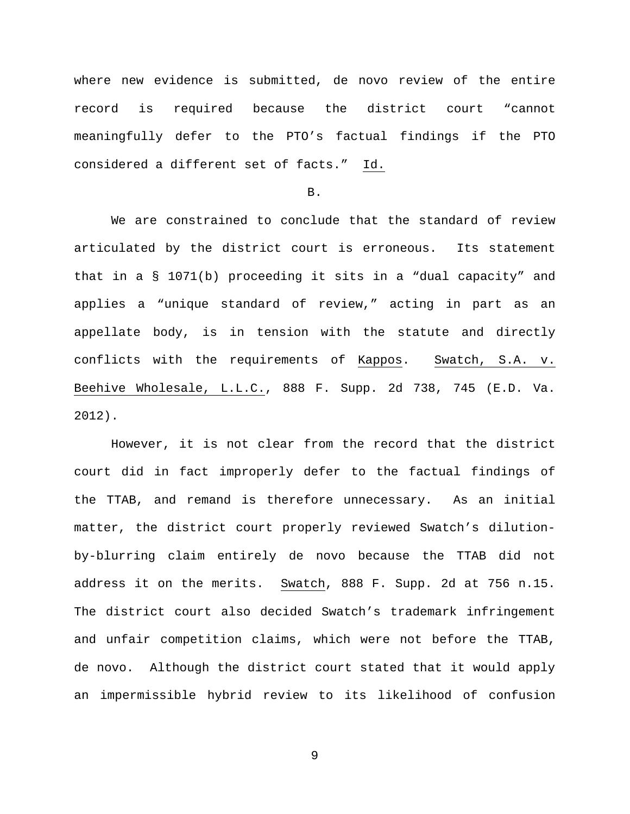where new evidence is submitted, de novo review of the entire record is required because the district court "cannot meaningfully defer to the PTO's factual findings if the PTO considered a different set of facts." Id.

B.

We are constrained to conclude that the standard of review articulated by the district court is erroneous. Its statement that in a § 1071(b) proceeding it sits in a "dual capacity" and applies a "unique standard of review," acting in part as an appellate body, is in tension with the statute and directly conflicts with the requirements of Kappos. Swatch, S.A. v. Beehive Wholesale, L.L.C., 888 F. Supp. 2d 738, 745 (E.D. Va. 2012).

However, it is not clear from the record that the district court did in fact improperly defer to the factual findings of the TTAB, and remand is therefore unnecessary. As an initial matter, the district court properly reviewed Swatch's dilutionby-blurring claim entirely de novo because the TTAB did not address it on the merits. Swatch, 888 F. Supp. 2d at 756 n.15. The district court also decided Swatch's trademark infringement and unfair competition claims, which were not before the TTAB, de novo. Although the district court stated that it would apply an impermissible hybrid review to its likelihood of confusion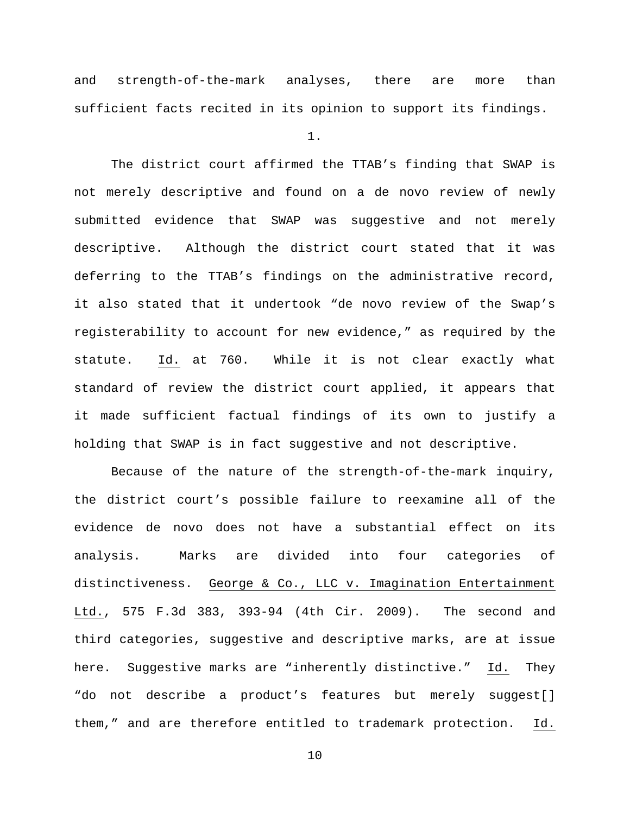and strength-of-the-mark analyses, there are more than sufficient facts recited in its opinion to support its findings.

1.

The district court affirmed the TTAB's finding that SWAP is not merely descriptive and found on a de novo review of newly submitted evidence that SWAP was suggestive and not merely descriptive. Although the district court stated that it was deferring to the TTAB's findings on the administrative record, it also stated that it undertook "de novo review of the Swap's registerability to account for new evidence," as required by the statute. Id. at 760. While it is not clear exactly what standard of review the district court applied, it appears that it made sufficient factual findings of its own to justify a holding that SWAP is in fact suggestive and not descriptive.

Because of the nature of the strength-of-the-mark inquiry, the district court's possible failure to reexamine all of the evidence de novo does not have a substantial effect on its analysis. Marks are divided into four categories of distinctiveness. George & Co., LLC v. Imagination Entertainment Ltd., 575 F.3d 383, 393-94 (4th Cir. 2009). The second and third categories, suggestive and descriptive marks, are at issue here. Suggestive marks are "inherently distinctive." Id. They "do not describe a product's features but merely suggest[] them," and are therefore entitled to trademark protection. Id.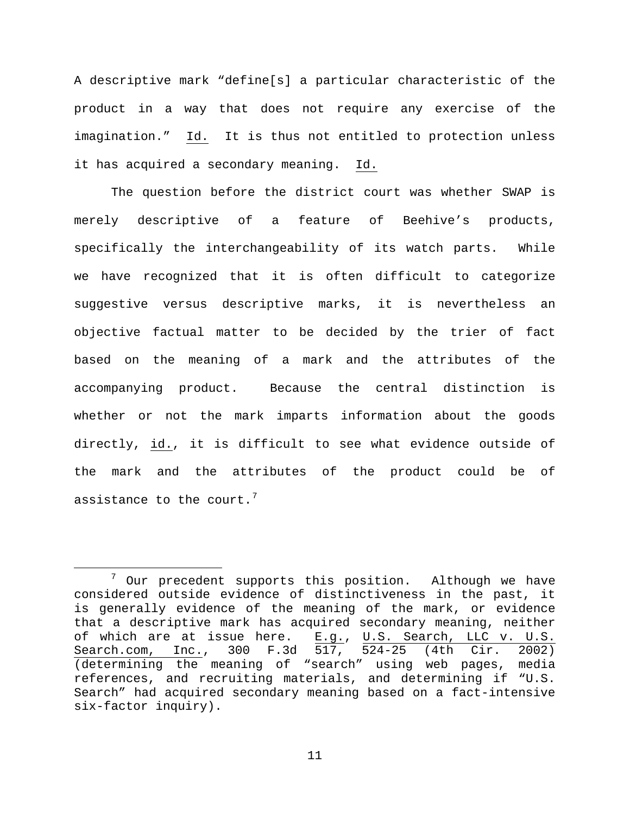A descriptive mark "define[s] a particular characteristic of the product in a way that does not require any exercise of the imagination." Id. It is thus not entitled to protection unless it has acquired a secondary meaning. Id.

The question before the district court was whether SWAP is merely descriptive of a feature of Beehive's products, specifically the interchangeability of its watch parts. While we have recognized that it is often difficult to categorize suggestive versus descriptive marks, it is nevertheless an objective factual matter to be decided by the trier of fact based on the meaning of a mark and the attributes of the accompanying product. Because the central distinction is whether or not the mark imparts information about the goods directly, id., it is difficult to see what evidence outside of the mark and the attributes of the product could be of assistance to the court.<sup>[7](#page-10-0)</sup>

<span id="page-10-0"></span> <sup>7</sup> Our precedent supports this position. Although we have considered outside evidence of distinctiveness in the past, it is generally evidence of the meaning of the mark, or evidence that a descriptive mark has acquired secondary meaning, neither of which are at issue here. E.g., U.S. Search, LLC v. U.S. Search.com, Inc., 300 F.3d 517, 524-25 (4th Cir. 2002) (determining the meaning of "search" using web pages, media references, and recruiting materials, and determining if "U.S. Search" had acquired secondary meaning based on a fact-intensive six-factor inquiry).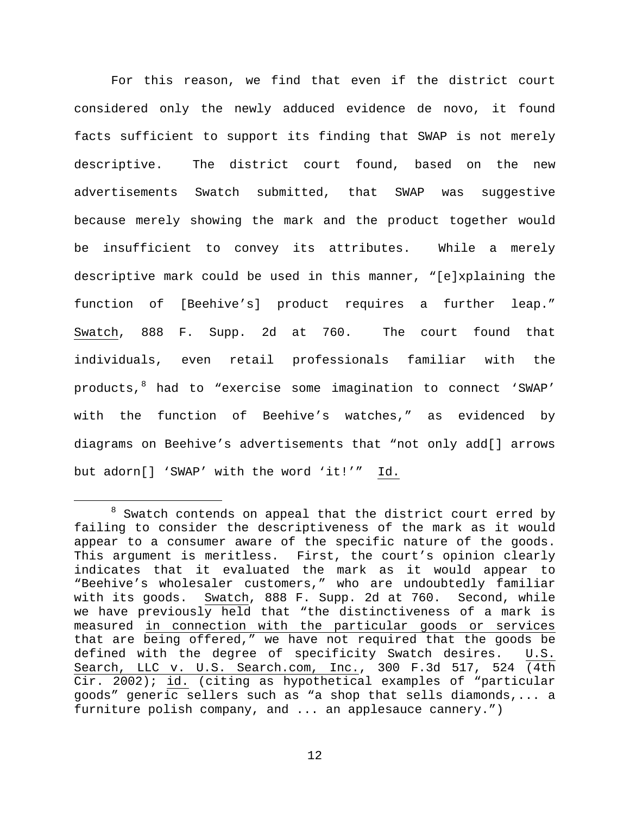For this reason, we find that even if the district court considered only the newly adduced evidence de novo, it found facts sufficient to support its finding that SWAP is not merely descriptive. The district court found, based on the new advertisements Swatch submitted, that SWAP was suggestive because merely showing the mark and the product together would be insufficient to convey its attributes. While a merely descriptive mark could be used in this manner, "[e]xplaining the function of [Beehive's] product requires a further leap." Swatch, 888 F. Supp. 2d at 760. The court found that individuals, even retail professionals familiar with the products, <sup>[8](#page-11-0)</sup> had to "exercise some imagination to connect 'SWAP' with the function of Beehive's watches," as evidenced by diagrams on Beehive's advertisements that "not only add[] arrows but adorn[] 'SWAP' with the word 'it!'" Id.

<span id="page-11-0"></span> $8$  Swatch contends on appeal that the district court erred by failing to consider the descriptiveness of the mark as it would appear to a consumer aware of the specific nature of the goods. This argument is meritless. First, the court's opinion clearly indicates that it evaluated the mark as it would appear to "Beehive's wholesaler customers," who are undoubtedly familiar with its goods. Swatch, 888 F. Supp. 2d at 760. Second, while we have previously held that "the distinctiveness of a mark is measured in connection with the particular goods or services that are being offered," we have not required that the goods be defined with the degree of specificity Swatch desires. U.S. Search, LLC v. U.S. Search.com, Inc., 300 F.3d 517, 524 (4th Cir. 2002); id. (citing as hypothetical examples of "particular goods" generic sellers such as "a shop that sells diamonds,... a furniture polish company, and ... an applesauce cannery.")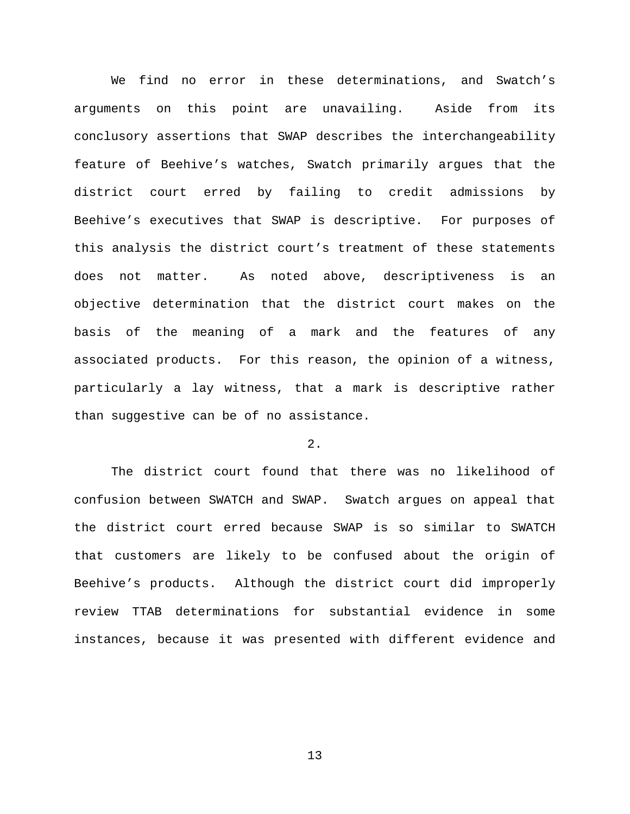We find no error in these determinations, and Swatch's arguments on this point are unavailing. Aside from its conclusory assertions that SWAP describes the interchangeability feature of Beehive's watches, Swatch primarily argues that the district court erred by failing to credit admissions by Beehive's executives that SWAP is descriptive. For purposes of this analysis the district court's treatment of these statements does not matter. As noted above, descriptiveness is an objective determination that the district court makes on the basis of the meaning of a mark and the features of any associated products. For this reason, the opinion of a witness, particularly a lay witness, that a mark is descriptive rather than suggestive can be of no assistance.

# 2.

The district court found that there was no likelihood of confusion between SWATCH and SWAP. Swatch argues on appeal that the district court erred because SWAP is so similar to SWATCH that customers are likely to be confused about the origin of Beehive's products. Although the district court did improperly review TTAB determinations for substantial evidence in some instances, because it was presented with different evidence and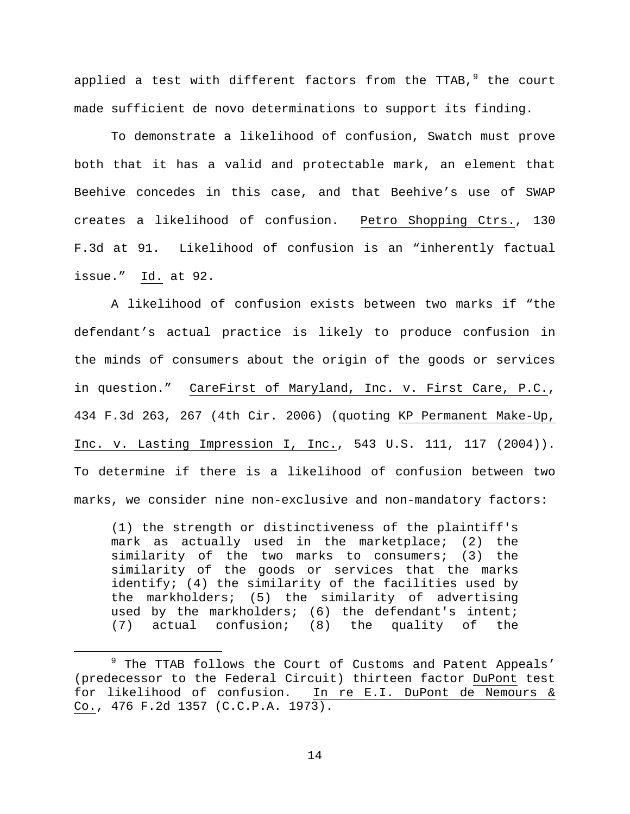applied a test with different factors from the TTAB,  $9$  the court made sufficient de novo determinations to support its finding.

To demonstrate a likelihood of confusion, Swatch must prove both that it has a valid and protectable mark, an element that Beehive concedes in this case, and that Beehive's use of SWAP creates a likelihood of confusion. Petro Shopping Ctrs., 130 F.3d at 91. Likelihood of confusion is an "inherently factual issue." Id. at 92.

A likelihood of confusion exists between two marks if "the defendant's actual practice is likely to produce confusion in the minds of consumers about the origin of the goods or services in question." CareFirst of Maryland, Inc. v. First Care, P.C., 434 F.3d 263, 267 (4th Cir. 2006) (quoting KP Permanent Make-Up, Inc. v. Lasting Impression I, Inc., 543 U.S. 111, 117 (2004)). To determine if there is a likelihood of confusion between two marks, we consider nine non-exclusive and non-mandatory factors:

(1) the strength or distinctiveness of the plaintiff's mark as actually used in the marketplace; (2) the similarity of the two marks to consumers; (3) the similarity of the goods or services that the marks identify; (4) the similarity of the facilities used by the markholders; (5) the similarity of advertising used by the markholders; (6) the defendant's intent; (7) actual confusion; (8) the quality of the

<span id="page-13-0"></span><sup>&</sup>lt;sup>9</sup> The TTAB follows the Court of Customs and Patent Appeals' (predecessor to the Federal Circuit) thirteen factor DuPont test for likelihood of confusion. In re E.I. DuPont de Nemours & Co., 476 F.2d 1357 (C.C.P.A. 1973).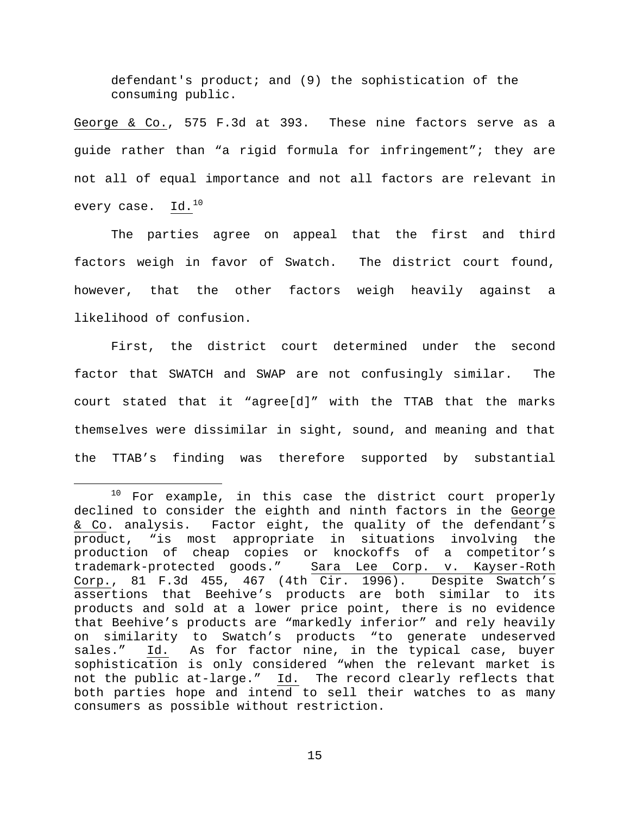defendant's product; and (9) the sophistication of the consuming public.

George & Co., 575 F.3d at 393. These nine factors serve as a guide rather than "a rigid formula for infringement"; they are not all of equal importance and not all factors are relevant in every case.  $Id.^{10}$  $Id.^{10}$  $Id.^{10}$ 

The parties agree on appeal that the first and third factors weigh in favor of Swatch. The district court found, however, that the other factors weigh heavily against a likelihood of confusion.

First, the district court determined under the second factor that SWATCH and SWAP are not confusingly similar. The court stated that it "agree[d]" with the TTAB that the marks themselves were dissimilar in sight, sound, and meaning and that the TTAB's finding was therefore supported by substantial

<span id="page-14-0"></span> $10$  For example, in this case the district court properly declined to consider the eighth and ninth factors in the George & Co. analysis. Factor eight, the quality of the defendant's product, "is most appropriate in situations involving the production of cheap copies or knockoffs of a competitor's trademark-protected goods." Sara Lee Corp. v. Kayser-Roth Corp., 81 F.3d 455, 467 (4th Cir. 1996). Despite Swatch's assertions that Beehive's products are both similar to its products and sold at a lower price point, there is no evidence that Beehive's products are "markedly inferior" and rely heavily on similarity to Swatch's products "to generate undeserved<br>sales." Id. As for factor nine, in the typical case, buyer As for factor nine, in the typical case, buyer sophistication is only considered "when the relevant market is not the public at-large." Id. The record clearly reflects that both parties hope and intend to sell their watches to as many consumers as possible without restriction.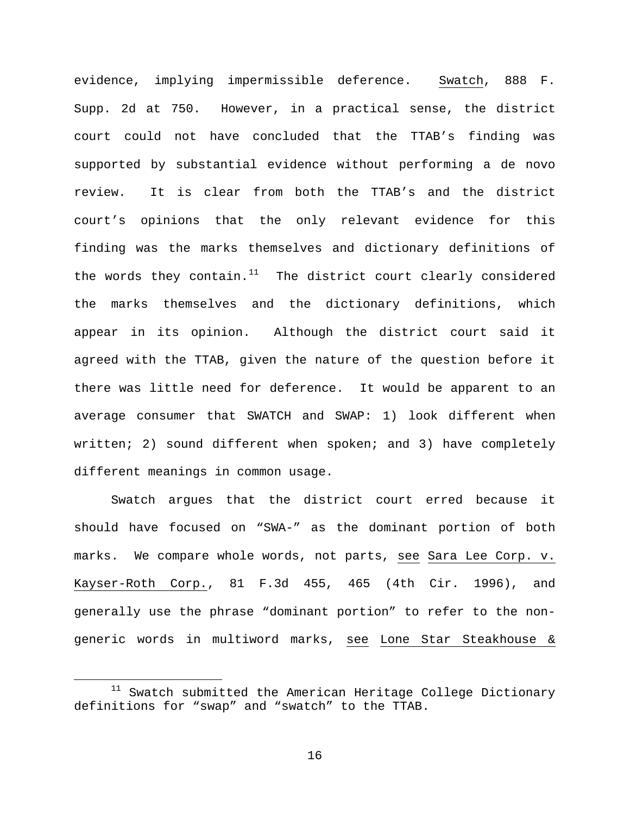evidence, implying impermissible deference. Swatch, 888 F. Supp. 2d at 750. However, in a practical sense, the district court could not have concluded that the TTAB's finding was supported by substantial evidence without performing a de novo review. It is clear from both the TTAB's and the district court's opinions that the only relevant evidence for this finding was the marks themselves and dictionary definitions of the words they contain. $11$  The district court clearly considered the marks themselves and the dictionary definitions, which appear in its opinion. Although the district court said it agreed with the TTAB, given the nature of the question before it there was little need for deference. It would be apparent to an average consumer that SWATCH and SWAP: 1) look different when written; 2) sound different when spoken; and 3) have completely different meanings in common usage.

Swatch argues that the district court erred because it should have focused on "SWA-" as the dominant portion of both marks. We compare whole words, not parts, see Sara Lee Corp. v. Kayser-Roth Corp., 81 F.3d 455, 465 (4th Cir. 1996), and generally use the phrase "dominant portion" to refer to the nongeneric words in multiword marks, see Lone Star Steakhouse &

<span id="page-15-0"></span> $11$  Swatch submitted the American Heritage College Dictionary definitions for "swap" and "swatch" to the TTAB.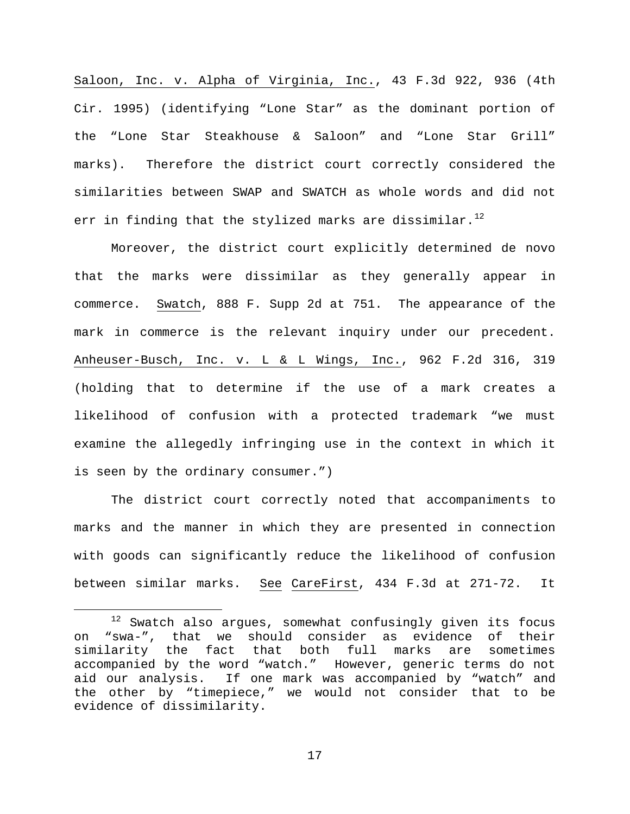Saloon, Inc. v. Alpha of Virginia, Inc., 43 F.3d 922, 936 (4th Cir. 1995) (identifying "Lone Star" as the dominant portion of the "Lone Star Steakhouse & Saloon" and "Lone Star Grill" marks). Therefore the district court correctly considered the similarities between SWAP and SWATCH as whole words and did not err in finding that the stylized marks are dissimilar.<sup>[12](#page-16-0)</sup>

Moreover, the district court explicitly determined de novo that the marks were dissimilar as they generally appear in commerce. Swatch, 888 F. Supp 2d at 751. The appearance of the mark in commerce is the relevant inquiry under our precedent. Anheuser-Busch, Inc. v. L & L Wings, Inc., 962 F.2d 316, 319 (holding that to determine if the use of a mark creates a likelihood of confusion with a protected trademark "we must examine the allegedly infringing use in the context in which it is seen by the ordinary consumer.")

The district court correctly noted that accompaniments to marks and the manner in which they are presented in connection with goods can significantly reduce the likelihood of confusion between similar marks. See CareFirst, 434 F.3d at 271-72. It

<span id="page-16-0"></span> $12$  Swatch also argues, somewhat confusingly given its focus on "swa-", that we should consider as evidence of their similarity the fact that both full marks are sometimes accompanied by the word "watch." However, generic terms do not<br>aid our analysis. If one mark was accompanied by "watch" and If one mark was accompanied by "watch" and the other by "timepiece," we would not consider that to be evidence of dissimilarity.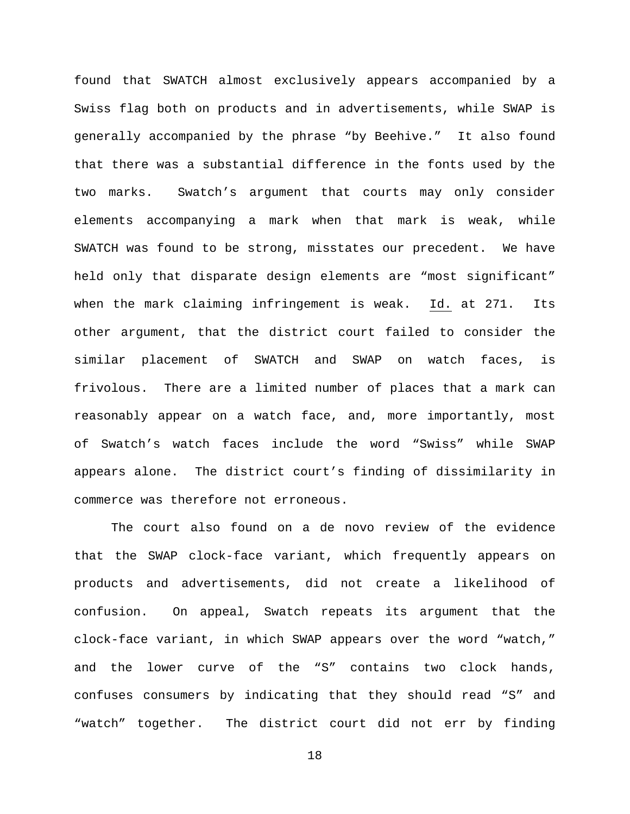found that SWATCH almost exclusively appears accompanied by a Swiss flag both on products and in advertisements, while SWAP is generally accompanied by the phrase "by Beehive." It also found that there was a substantial difference in the fonts used by the two marks. Swatch's argument that courts may only consider elements accompanying a mark when that mark is weak, while SWATCH was found to be strong, misstates our precedent. We have held only that disparate design elements are "most significant" when the mark claiming infringement is weak. Id. at 271. Its other argument, that the district court failed to consider the similar placement of SWATCH and SWAP on watch faces, is frivolous. There are a limited number of places that a mark can reasonably appear on a watch face, and, more importantly, most of Swatch's watch faces include the word "Swiss" while SWAP appears alone. The district court's finding of dissimilarity in commerce was therefore not erroneous.

The court also found on a de novo review of the evidence that the SWAP clock-face variant, which frequently appears on products and advertisements, did not create a likelihood of confusion. On appeal, Swatch repeats its argument that the clock-face variant, in which SWAP appears over the word "watch," and the lower curve of the "S" contains two clock hands, confuses consumers by indicating that they should read "S" and "watch" together. The district court did not err by finding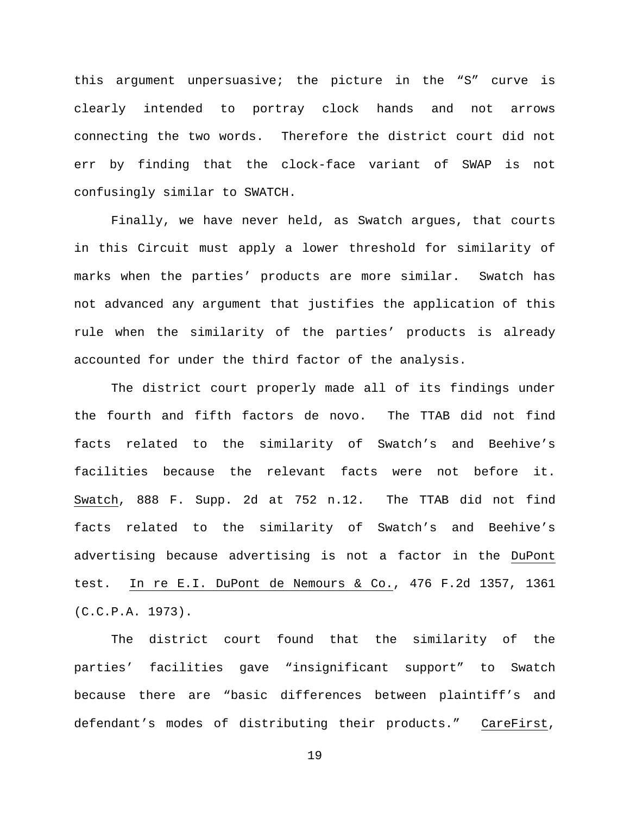this argument unpersuasive; the picture in the "S" curve is clearly intended to portray clock hands and not arrows connecting the two words. Therefore the district court did not err by finding that the clock-face variant of SWAP is not confusingly similar to SWATCH.

Finally, we have never held, as Swatch argues, that courts in this Circuit must apply a lower threshold for similarity of marks when the parties' products are more similar. Swatch has not advanced any argument that justifies the application of this rule when the similarity of the parties' products is already accounted for under the third factor of the analysis.

The district court properly made all of its findings under the fourth and fifth factors de novo. The TTAB did not find facts related to the similarity of Swatch's and Beehive's facilities because the relevant facts were not before it. Swatch, 888 F. Supp. 2d at 752 n.12. The TTAB did not find facts related to the similarity of Swatch's and Beehive's advertising because advertising is not a factor in the DuPont test. In re E.I. DuPont de Nemours & Co., 476 F.2d 1357, 1361 (C.C.P.A. 1973).

The district court found that the similarity of the parties' facilities gave "insignificant support" to Swatch because there are "basic differences between plaintiff's and defendant's modes of distributing their products." CareFirst,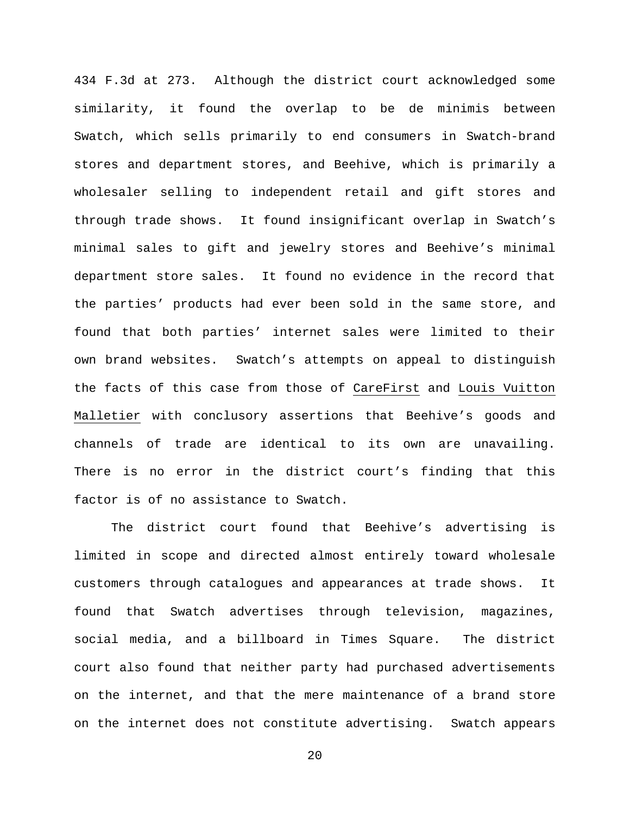434 F.3d at 273. Although the district court acknowledged some similarity, it found the overlap to be de minimis between Swatch, which sells primarily to end consumers in Swatch-brand stores and department stores, and Beehive, which is primarily a wholesaler selling to independent retail and gift stores and through trade shows. It found insignificant overlap in Swatch's minimal sales to gift and jewelry stores and Beehive's minimal department store sales. It found no evidence in the record that the parties' products had ever been sold in the same store, and found that both parties' internet sales were limited to their own brand websites. Swatch's attempts on appeal to distinguish the facts of this case from those of CareFirst and Louis Vuitton Malletier with conclusory assertions that Beehive's goods and channels of trade are identical to its own are unavailing. There is no error in the district court's finding that this factor is of no assistance to Swatch.

The district court found that Beehive's advertising is limited in scope and directed almost entirely toward wholesale customers through catalogues and appearances at trade shows. It found that Swatch advertises through television, magazines, social media, and a billboard in Times Square. The district court also found that neither party had purchased advertisements on the internet, and that the mere maintenance of a brand store on the internet does not constitute advertising. Swatch appears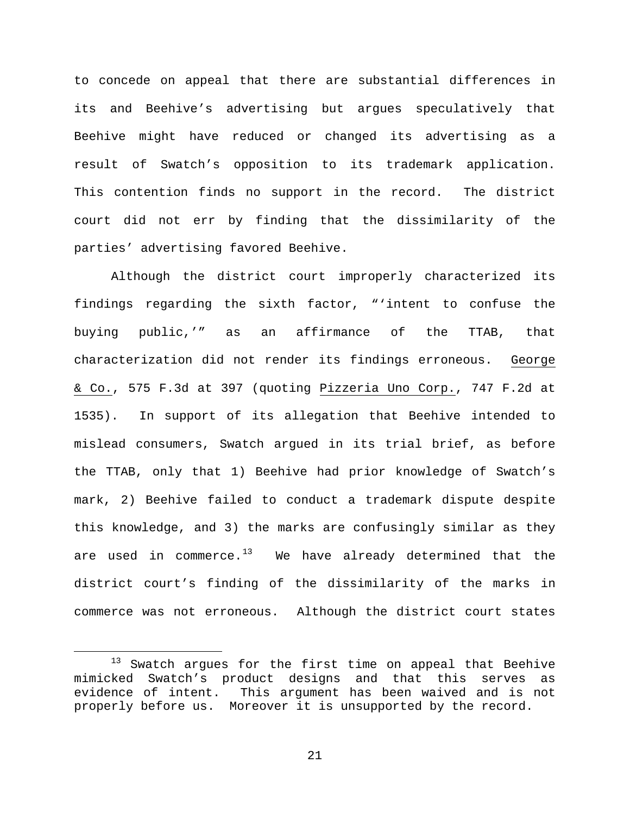to concede on appeal that there are substantial differences in its and Beehive's advertising but argues speculatively that Beehive might have reduced or changed its advertising as a result of Swatch's opposition to its trademark application. This contention finds no support in the record. The district court did not err by finding that the dissimilarity of the parties' advertising favored Beehive.

Although the district court improperly characterized its findings regarding the sixth factor, "'intent to confuse the buying public,'" as an affirmance of the TTAB, that characterization did not render its findings erroneous. George & Co., 575 F.3d at 397 (quoting Pizzeria Uno Corp., 747 F.2d at 1535). In support of its allegation that Beehive intended to mislead consumers, Swatch argued in its trial brief, as before the TTAB, only that 1) Beehive had prior knowledge of Swatch's mark, 2) Beehive failed to conduct a trademark dispute despite this knowledge, and 3) the marks are confusingly similar as they are used in commerce. $13$  We have already determined that the district court's finding of the dissimilarity of the marks in commerce was not erroneous. Although the district court states

<span id="page-20-0"></span><sup>&</sup>lt;sup>13</sup> Swatch argues for the first time on appeal that Beehive mimicked Swatch's product designs and that this serves as evidence of intent. This argument has been waived and is not properly before us. Moreover it is unsupported by the record.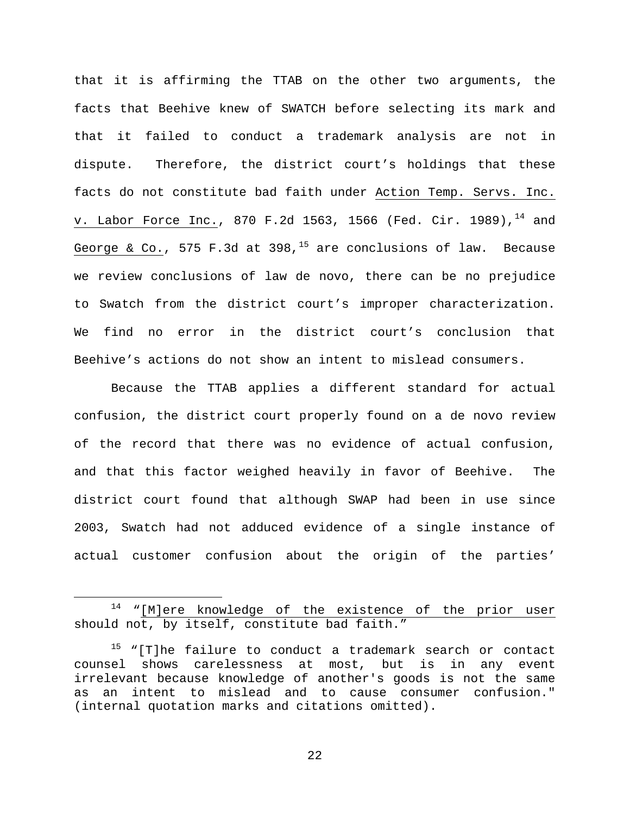that it is affirming the TTAB on the other two arguments, the facts that Beehive knew of SWATCH before selecting its mark and that it failed to conduct a trademark analysis are not in dispute. Therefore, the district court's holdings that these facts do not constitute bad faith under Action Temp. Servs. Inc. v. Labor Force Inc., 870 F.2d 1563, 1566 (Fed. Cir. 1989),  $^{14}$  $^{14}$  $^{14}$  and George & Co., 575 F.3d at 398,<sup>[15](#page-21-1)</sup> are conclusions of law. Because we review conclusions of law de novo, there can be no prejudice to Swatch from the district court's improper characterization. We find no error in the district court's conclusion that Beehive's actions do not show an intent to mislead consumers.

Because the TTAB applies a different standard for actual confusion, the district court properly found on a de novo review of the record that there was no evidence of actual confusion, and that this factor weighed heavily in favor of Beehive. The district court found that although SWAP had been in use since 2003, Swatch had not adduced evidence of a single instance of actual customer confusion about the origin of the parties'

<span id="page-21-0"></span><sup>&</sup>lt;sup>14</sup> "[M]ere knowledge of the existence of the prior user should not, by itself, constitute bad faith."

<span id="page-21-1"></span> $15$  "[T]he failure to conduct a trademark search or contact counsel shows carelessness at most, but is in any event irrelevant because knowledge of another's goods is not the same as an intent to mislead and to cause consumer confusion." (internal quotation marks and citations omitted).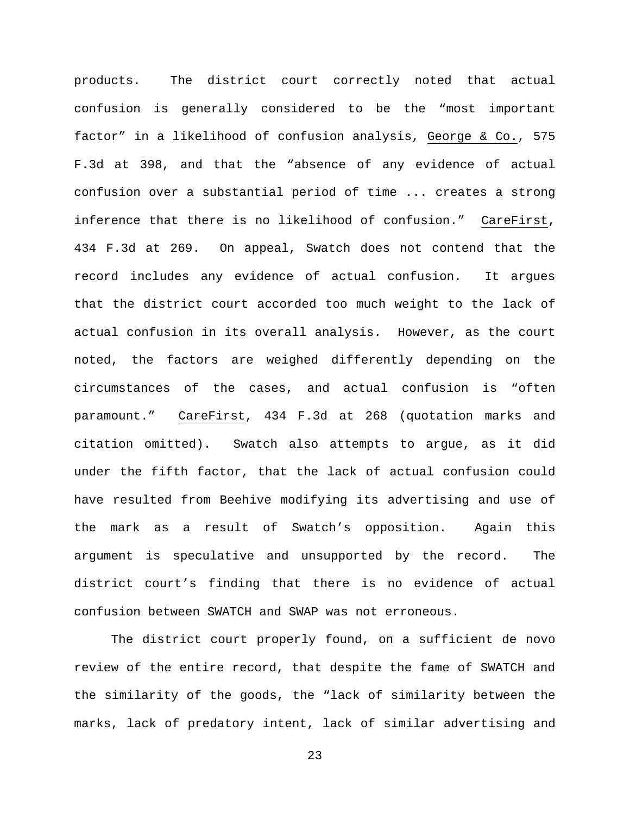products. The district court correctly noted that actual confusion is generally considered to be the "most important factor" in a likelihood of confusion analysis, George & Co., 575 F.3d at 398, and that the "absence of any evidence of actual confusion over a substantial period of time ... creates a strong inference that there is no likelihood of confusion." CareFirst, 434 F.3d at 269. On appeal, Swatch does not contend that the record includes any evidence of actual confusion. It argues that the district court accorded too much weight to the lack of actual confusion in its overall analysis. However, as the court noted, the factors are weighed differently depending on the circumstances of the cases, and actual confusion is "often paramount." CareFirst, 434 F.3d at 268 (quotation marks and citation omitted). Swatch also attempts to argue, as it did under the fifth factor, that the lack of actual confusion could have resulted from Beehive modifying its advertising and use of the mark as a result of Swatch's opposition. Again this argument is speculative and unsupported by the record. The district court's finding that there is no evidence of actual confusion between SWATCH and SWAP was not erroneous.

The district court properly found, on a sufficient de novo review of the entire record, that despite the fame of SWATCH and the similarity of the goods, the "lack of similarity between the marks, lack of predatory intent, lack of similar advertising and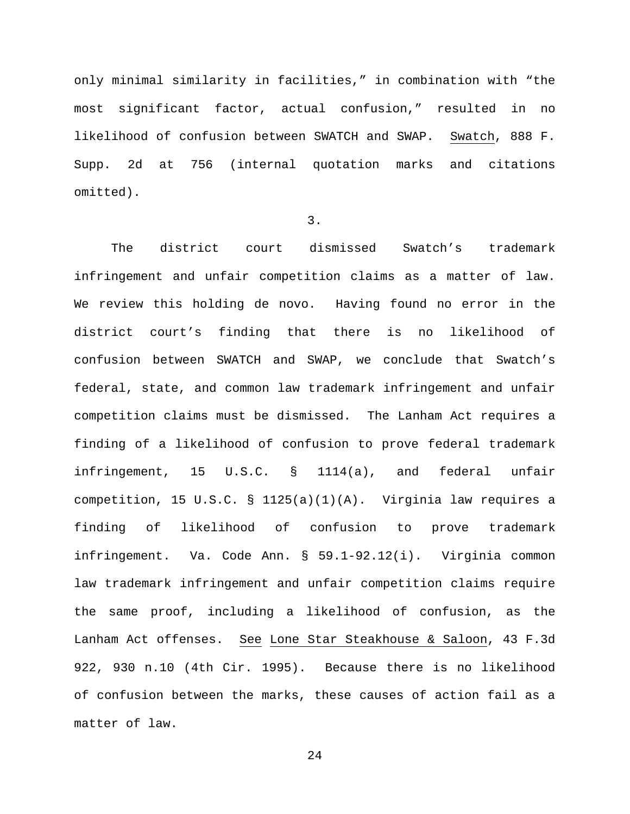only minimal similarity in facilities," in combination with "the most significant factor, actual confusion," resulted in no likelihood of confusion between SWATCH and SWAP. Swatch, 888 F. Supp. 2d at 756 (internal quotation marks and citations omitted).

### 3.

The district court dismissed Swatch's trademark infringement and unfair competition claims as a matter of law. We review this holding de novo. Having found no error in the district court's finding that there is no likelihood of confusion between SWATCH and SWAP, we conclude that Swatch's federal, state, and common law trademark infringement and unfair competition claims must be dismissed. The Lanham Act requires a finding of a likelihood of confusion to prove federal trademark infringement, 15 U.S.C. § 1114(a), and federal unfair competition, 15 U.S.C. § 1125(a)(1)(A). Virginia law requires a finding of likelihood of confusion to prove trademark infringement. Va. Code Ann. § 59.1-92.12(i). Virginia common law trademark infringement and unfair competition claims require the same proof, including a likelihood of confusion, as the Lanham Act offenses. See Lone Star Steakhouse & Saloon, 43 F.3d 922, 930 n.10 (4th Cir. 1995). Because there is no likelihood of confusion between the marks, these causes of action fail as a matter of law.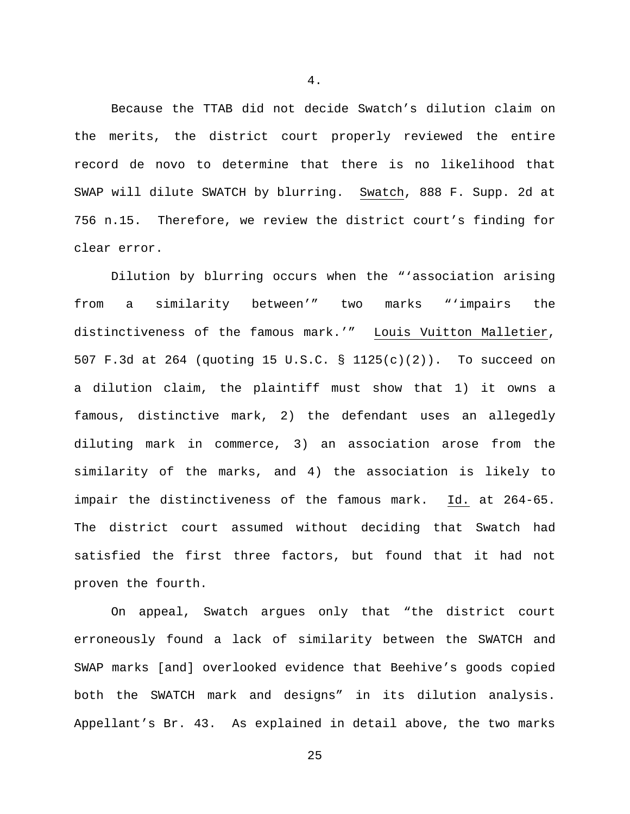Because the TTAB did not decide Swatch's dilution claim on the merits, the district court properly reviewed the entire record de novo to determine that there is no likelihood that SWAP will dilute SWATCH by blurring. Swatch, 888 F. Supp. 2d at 756 n.15. Therefore, we review the district court's finding for clear error.

Dilution by blurring occurs when the "'association arising from a similarity between'" two marks "'impairs the distinctiveness of the famous mark.'" Louis Vuitton Malletier, 507 F.3d at 264 (quoting 15 U.S.C. § 1125(c)(2)). To succeed on a dilution claim, the plaintiff must show that 1) it owns a famous, distinctive mark, 2) the defendant uses an allegedly diluting mark in commerce, 3) an association arose from the similarity of the marks, and 4) the association is likely to impair the distinctiveness of the famous mark. Id. at 264-65. The district court assumed without deciding that Swatch had satisfied the first three factors, but found that it had not proven the fourth.

On appeal, Swatch argues only that "the district court erroneously found a lack of similarity between the SWATCH and SWAP marks [and] overlooked evidence that Beehive's goods copied both the SWATCH mark and designs" in its dilution analysis. Appellant's Br. 43. As explained in detail above, the two marks

25

4.